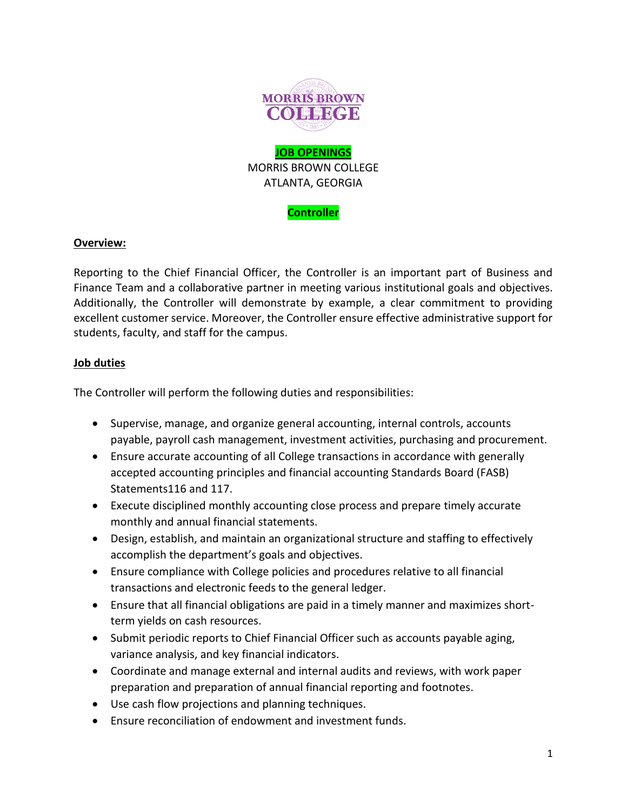

## **Controller**

## **Overview:**

Reporting to the Chief Financial Officer, the Controller is an important part of Business and Finance Team and a collaborative partner in meeting various institutional goals and objectives. Additionally, the Controller will demonstrate by example, a clear commitment to providing excellent customer service. Moreover, the Controller ensure effective administrative support for students, faculty, and staff for the campus.

## **Job duties**

The Controller will perform the following duties and responsibilities:

- Supervise, manage, and organize general accounting, internal controls, accounts payable, payroll cash management, investment activities, purchasing and procurement.
- Ensure accurate accounting of all College transactions in accordance with generally accepted accounting principles and financial accounting Standards Board (FASB) Statements116 and 117.
- Execute disciplined monthly accounting close process and prepare timely accurate monthly and annual financial statements.
- Design, establish, and maintain an organizational structure and staffing to effectively accomplish the department's goals and objectives.
- Ensure compliance with College policies and procedures relative to all financial transactions and electronic feeds to the general ledger.
- Ensure that all financial obligations are paid in a timely manner and maximizes shortterm yields on cash resources.
- Submit periodic reports to Chief Financial Officer such as accounts payable aging, variance analysis, and key financial indicators.
- Coordinate and manage external and internal audits and reviews, with work paper preparation and preparation of annual financial reporting and footnotes.
- Use cash flow projections and planning techniques.
- Ensure reconciliation of endowment and investment funds.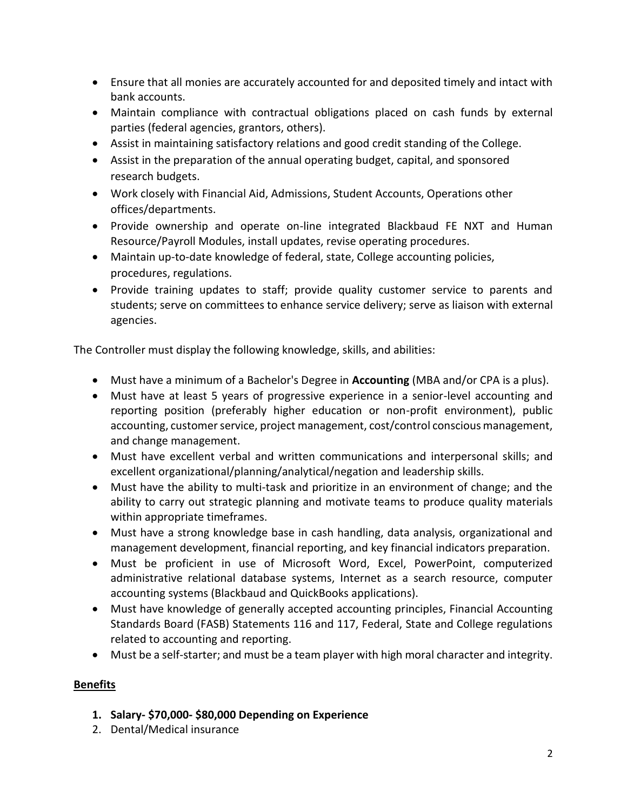- Ensure that all monies are accurately accounted for and deposited timely and intact with bank accounts.
- Maintain compliance with contractual obligations placed on cash funds by external parties (federal agencies, grantors, others).
- Assist in maintaining satisfactory relations and good credit standing of the College.
- Assist in the preparation of the annual operating budget, capital, and sponsored research budgets.
- Work closely with Financial Aid, Admissions, Student Accounts, Operations other offices/departments.
- Provide ownership and operate on-line integrated Blackbaud FE NXT and Human Resource/Payroll Modules, install updates, revise operating procedures.
- Maintain up-to-date knowledge of federal, state, College accounting policies, procedures, regulations.
- Provide training updates to staff; provide quality customer service to parents and students; serve on committees to enhance service delivery; serve as liaison with external agencies.

The Controller must display the following knowledge, skills, and abilities:

- Must have a minimum of a Bachelor's Degree in **Accounting** (MBA and/or CPA is a plus).
- Must have at least 5 years of progressive experience in a senior-level accounting and reporting position (preferably higher education or non-profit environment), public accounting, customer service, project management, cost/control conscious management, and change management.
- Must have excellent verbal and written communications and interpersonal skills; and excellent organizational/planning/analytical/negation and leadership skills.
- Must have the ability to multi-task and prioritize in an environment of change; and the ability to carry out strategic planning and motivate teams to produce quality materials within appropriate timeframes.
- Must have a strong knowledge base in cash handling, data analysis, organizational and management development, financial reporting, and key financial indicators preparation.
- Must be proficient in use of Microsoft Word, Excel, PowerPoint, computerized administrative relational database systems, Internet as a search resource, computer accounting systems (Blackbaud and QuickBooks applications).
- Must have knowledge of generally accepted accounting principles, Financial Accounting Standards Board (FASB) Statements 116 and 117, Federal, State and College regulations related to accounting and reporting.
- Must be a self-starter; and must be a team player with high moral character and integrity.

# **Benefits**

- **1. Salary- \$70,000- \$80,000 Depending on Experience**
- 2. Dental/Medical insurance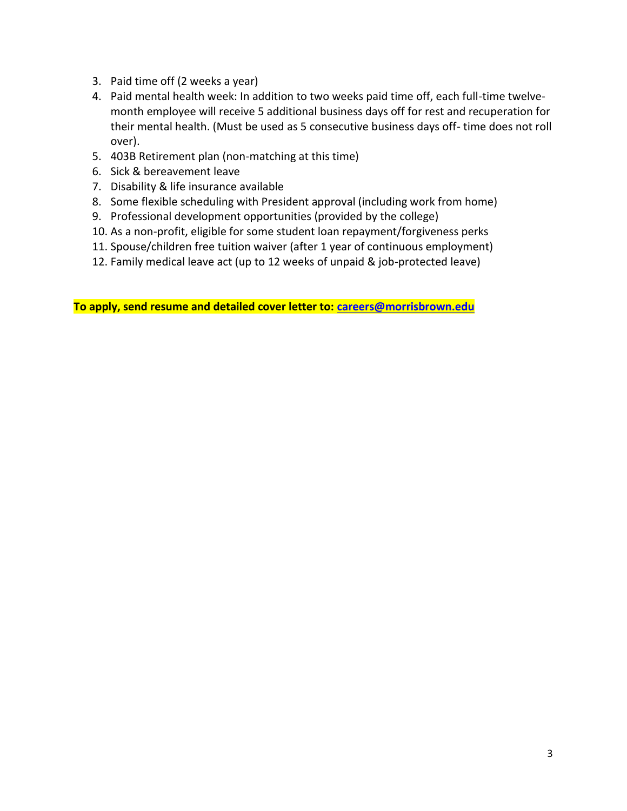- 3. Paid time off (2 weeks a year)
- 4. Paid mental health week: In addition to two weeks paid time off, each full-time twelvemonth employee will receive 5 additional business days off for rest and recuperation for their mental health. (Must be used as 5 consecutive business days off- time does not roll over).
- 5. 403B Retirement plan (non-matching at this time)
- 6. Sick & bereavement leave
- 7. Disability & life insurance available
- 8. Some flexible scheduling with President approval (including work from home)
- 9. Professional development opportunities (provided by the college)
- 10. As a non-profit, eligible for some student loan repayment/forgiveness perks
- 11. Spouse/children free tuition waiver (after 1 year of continuous employment)
- 12. Family medical leave act (up to 12 weeks of unpaid & job-protected leave)

**To apply, send resume and detailed cover letter to: [careers@morrisbrown.edu](mailto:careers@morrisbrown.edu)**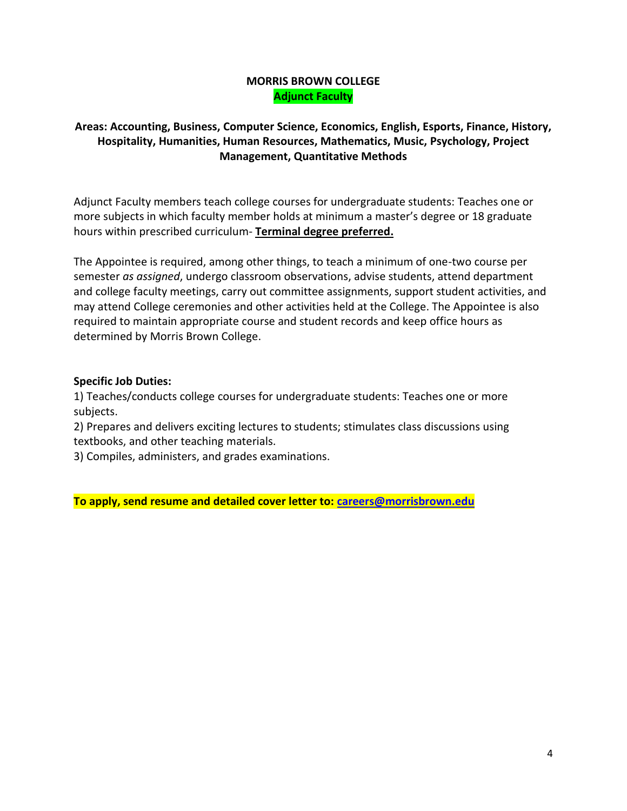## **MORRIS BROWN COLLEGE Adjunct Faculty**

## **Areas: Accounting, Business, Computer Science, Economics, English, Esports, Finance, History, Hospitality, Humanities, Human Resources, Mathematics, Music, Psychology, Project Management, Quantitative Methods**

Adjunct Faculty members teach college courses for undergraduate students: Teaches one or more subjects in which faculty member holds at minimum a master's degree or 18 graduate hours within prescribed curriculum- **Terminal degree preferred.**

The Appointee is required, among other things, to teach a minimum of one-two course per semester *as assigned*, undergo classroom observations, advise students, attend department and college faculty meetings, carry out committee assignments, support student activities, and may attend College ceremonies and other activities held at the College. The Appointee is also required to maintain appropriate course and student records and keep office hours as determined by Morris Brown College.

## **Specific Job Duties:**

1) Teaches/conducts college courses for undergraduate students: Teaches one or more subjects.

2) Prepares and delivers exciting lectures to students; stimulates class discussions using textbooks, and other teaching materials.

3) Compiles, administers, and grades examinations.

**To apply, send resume and detailed cover letter to: [careers@morrisbrown.edu](mailto:careers@morrisbrown.edu)**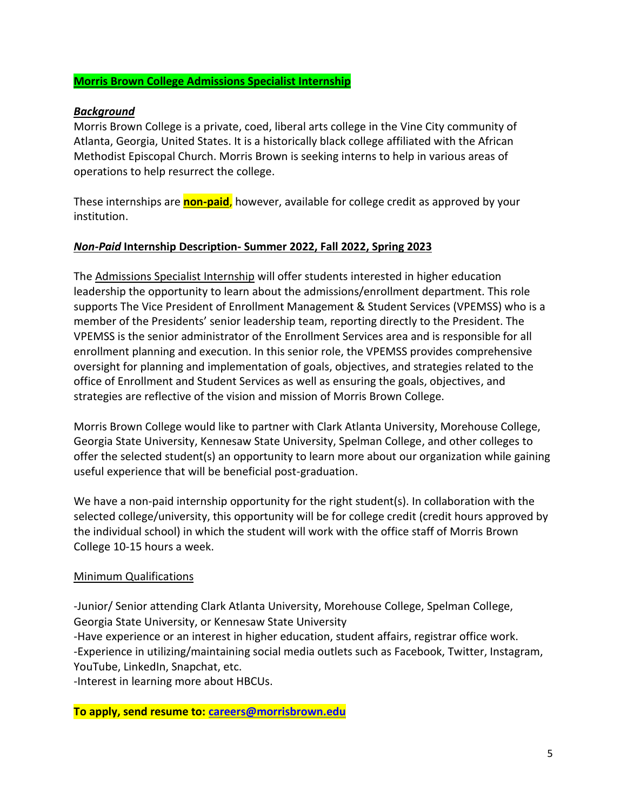## **Morris Brown College Admissions Specialist Internship**

#### *Background*

Morris Brown College is a private, coed, liberal arts college in the Vine City community of Atlanta, Georgia, United States. It is a historically black college affiliated with the African Methodist Episcopal Church. Morris Brown is seeking interns to help in various areas of operations to help resurrect the college.

These internships are **non-paid**, however, available for college credit as approved by your institution.

#### *Non-Paid* **Internship Description- Summer 2022, Fall 2022, Spring 2023**

The Admissions Specialist Internship will offer students interested in higher education leadership the opportunity to learn about the admissions/enrollment department. This role supports The Vice President of Enrollment Management & Student Services (VPEMSS) who is a member of the Presidents' senior leadership team, reporting directly to the President. The VPEMSS is the senior administrator of the Enrollment Services area and is responsible for all enrollment planning and execution. In this senior role, the VPEMSS provides comprehensive oversight for planning and implementation of goals, objectives, and strategies related to the office of Enrollment and Student Services as well as ensuring the goals, objectives, and strategies are reflective of the vision and mission of Morris Brown College.

Morris Brown College would like to partner with Clark Atlanta University, Morehouse College, Georgia State University, Kennesaw State University, Spelman College, and other colleges to offer the selected student(s) an opportunity to learn more about our organization while gaining useful experience that will be beneficial post-graduation.

We have a non-paid internship opportunity for the right student(s). In collaboration with the selected college/university, this opportunity will be for college credit (credit hours approved by the individual school) in which the student will work with the office staff of Morris Brown College 10-15 hours a week.

#### Minimum Qualifications

-Junior/ Senior attending Clark Atlanta University, Morehouse College, Spelman College, Georgia State University, or Kennesaw State University

-Have experience or an interest in higher education, student affairs, registrar office work. -Experience in utilizing/maintaining social media outlets such as Facebook, Twitter, Instagram, YouTube, LinkedIn, Snapchat, etc.

-Interest in learning more about HBCUs.

**To apply, send resume to: [careers@morrisbrown.edu](mailto:careers@morrisbrown.edu)**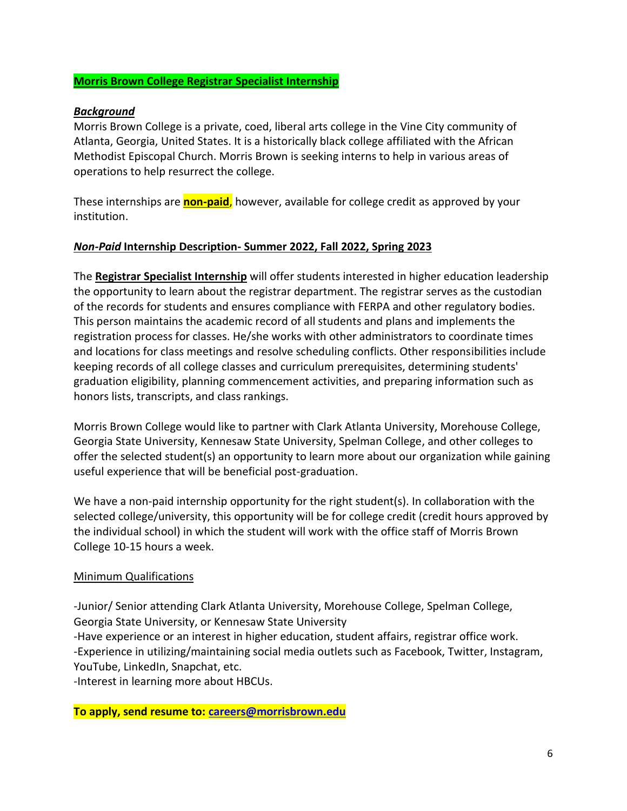## **Morris Brown College Registrar Specialist Internship**

#### *Background*

Morris Brown College is a private, coed, liberal arts college in the Vine City community of Atlanta, Georgia, United States. It is a historically black college affiliated with the African Methodist Episcopal Church. Morris Brown is seeking interns to help in various areas of operations to help resurrect the college.

These internships are **non-paid**, however, available for college credit as approved by your institution.

#### *Non-Paid* **Internship Description- Summer 2022, Fall 2022, Spring 2023**

The **Registrar Specialist Internship** will offer students interested in higher education leadership the opportunity to learn about the registrar department. The registrar serves as the custodian of the records for students and ensures compliance with FERPA and other regulatory bodies. This person maintains the academic record of all students and plans and implements the registration process for classes. He/she works with other administrators to coordinate times and locations for class meetings and resolve scheduling conflicts. Other responsibilities include keeping records of all college classes and curriculum prerequisites, determining students' graduation eligibility, planning commencement activities, and preparing information such as honors lists, transcripts, and class rankings.

Morris Brown College would like to partner with Clark Atlanta University, Morehouse College, Georgia State University, Kennesaw State University, Spelman College, and other colleges to offer the selected student(s) an opportunity to learn more about our organization while gaining useful experience that will be beneficial post-graduation.

We have a non-paid internship opportunity for the right student(s). In collaboration with the selected college/university, this opportunity will be for college credit (credit hours approved by the individual school) in which the student will work with the office staff of Morris Brown College 10-15 hours a week.

#### Minimum Qualifications

-Junior/ Senior attending Clark Atlanta University, Morehouse College, Spelman College, Georgia State University, or Kennesaw State University

-Have experience or an interest in higher education, student affairs, registrar office work. -Experience in utilizing/maintaining social media outlets such as Facebook, Twitter, Instagram, YouTube, LinkedIn, Snapchat, etc.

-Interest in learning more about HBCUs.

**To apply, send resume to: [careers@morrisbrown.edu](mailto:careers@morrisbrown.edu)**